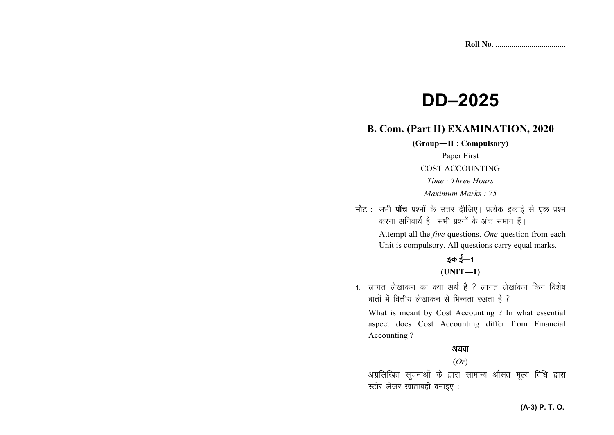# **DD–2025**

# **B. Com. (Part II) EXAMINATION, 2020**

**(Group—II : Compulsory)** Paper First COST ACCOUNTING *Time : Three Hours Maximum Marks : 75* 

**नोट** : सभी **पाँच** प्रश्नों के उत्तर दीजिए। प्रत्येक इकाई से **एक** प्रश्न *djuk vfuok;Z gSA lHkh iz'uksa d¢ vad leku gSaA*  Attempt all the *five* questions. *One* question from each Unit is compulsory. All questions carry equal marks.

# *s*काई—1

## **(UNIT—1)**

1. लागत लेखांकन का क्या अर्थ है ? लागत लेखांकन किन विशेष *ckrksa esa foŸkh; ys[kkadu ls fHkUurk j[krk gS \* 

What is meant by Cost Accounting ? In what essential aspect does Cost Accounting differ from Financial Accounting ?

#### अथवा

#### (*Or*)

*vxzfyf[kr lwpukvksa ds }kjk lkekU; vkSlr ewY; fof/k }kjk LVksj ystj [kkrkcgh cukb, %* 

#### **(A-3) P. T. O.**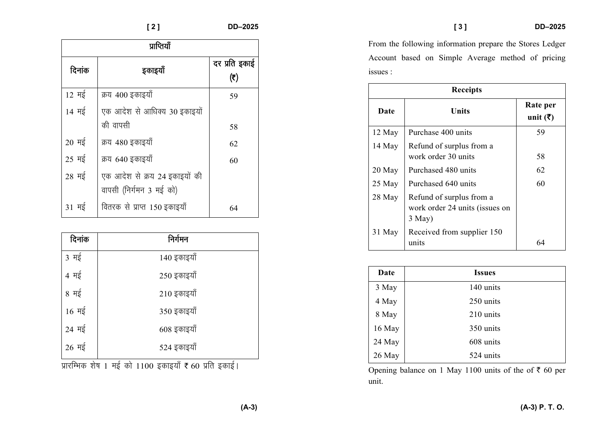| प्राप्तियाँ               |                                                          |                      |  |
|---------------------------|----------------------------------------------------------|----------------------|--|
| दिनांक                    | इकाइयाँ                                                  | दर प्रति इकाई<br>(₹) |  |
| $12 \frac{H}{5}$          | क्रय 400 इकाइयाँ                                         | 59                   |  |
| 14 मई                     | एक आदेश से आधिक्य 30 इकाइयों<br>की वापसी                 | 58                   |  |
| $20 \frac{1}{5}$          | क्रय 480 इकाइयाँ                                         | 62                   |  |
| $25 \text{ H}\frac{1}{5}$ | क्रय 640 इकाइयाँ                                         | 60                   |  |
| $28 \frac{4}{5}$          | एक आदेश से क्रय 24 इकाइयों की<br>वापसी (निर्गमन 3 मई को) |                      |  |
| 31 मई                     | वितरक से प्राप्त 150 इकाइयाँ                             | 64                   |  |

| दिनांक                    | निर्गमन     |
|---------------------------|-------------|
| 3 मई                      | 140 इकाइयाँ |
| 4 मई                      | 250 इकाइयाँ |
| 8 मई                      | 210 इकाइयाँ |
| $16 \text{ H}\frac{2}{3}$ | 350 इकाइयाँ |
| 24 मई                     | 608 इकाइयाँ |
| $26 \frac{4}{5}$          | 524 इकाइयाँ |

*x* प्रारम्भिक शेष 1 मई को 1100 इकाइयाँ **₹** 60 प्रति इकाई।

From the following information prepare the Stores Ledger Account based on Simple Average method of pricing issues :

| <b>Receipts</b> |                                                                           |                                  |  |
|-----------------|---------------------------------------------------------------------------|----------------------------------|--|
| Date            | Units                                                                     | Rate per<br>unit $(\bar{\zeta})$ |  |
| 12 May          | Purchase 400 units                                                        | 59                               |  |
| 14 May          | Refund of surplus from a<br>work order 30 units                           | 58                               |  |
| 20 May          | Purchased 480 units                                                       | 62                               |  |
| 25 May          | Purchased 640 units                                                       | 60                               |  |
| 28 May          | Refund of surplus from a<br>work order 24 units (issues on<br>$3$ May $)$ |                                  |  |
| 31 May          | Received from supplier 150<br>units                                       |                                  |  |

| Date   | <b>Issues</b> |
|--------|---------------|
| 3 May  | 140 units     |
| 4 May  | 250 units     |
| 8 May  | 210 units     |
| 16 May | 350 units     |
| 24 May | 608 units     |
| 26 May | 524 units     |

Opening balance on 1 May 1100 units of the of  $\bar{\tau}$  60 per unit.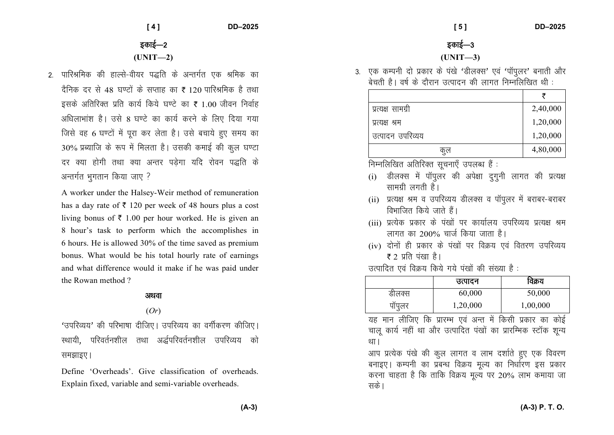**[ 4 ] DD–2025** 

# *bdkbZ*&*<sup>2</sup>***(UNIT—2)**

*2- ikfjJfed dh gkYls*&*oh;j i)fr ds vUrxZr ,d Jfed dk* दैनिक दर से 48 घण्टों के सप्ताह का ₹ 120 पारिश्रमिक है तथा इसके अतिरिक्त प्रति कार्य किये घण्टे का **₹** 1.00 जीवन निर्वाह *vf/kykHkka'k gSA mls* 8 *?k.Vs dk dk;Z djus ds fy, fn;k x;k ftls og* 6 *?k.Vksa esa iwjk dj ysrk gSA mls cpk;s gq, le; dk* 30% *izC;kft ds :i esa feyrk gSA mldh dekbZ dh dqy ?k.Vk nj D;k gksxh rFkk D;k vUrj iM+sxk ;fn jksou i)fr ds अन्त*र्गत भूगतान किया जाए ?

A worker under the Halsey-Weir method of remuneration has a day rate of  $\bar{\tau}$  120 per week of 48 hours plus a cost living bonus of  $\bar{\tau}$  1.00 per hour worked. He is given an 8 hour's task to perform which the accomplishes in 6 hours. He is allowed 30% of the time saved as premium bonus. What would be his total hourly rate of earnings and what difference would it make if he was paid under the Rowan method ?

#### अथवा

#### (*Or*)

^*mifjO;;*\* *dh ifjHkk"kk nhft,A mifjO;; dk oxhZdj.k dhft,A* रथायी, परिवर्तनशील तथा अर्द्धपरिवर्तनशील उपरिव्यय को *RHझाइए।* 

Define 'Overheads'. Give classification of overheads. Explain fixed, variable and semi-variable overheads.

 **[ 5 ] DD–2025** 

*bdkbZ*&*<sup>3</sup>*

### **(UNIT—3)**

3. एक कम्पनी दो प्रकार के पंखे 'डीलक्स' एवं 'पॉपुलर' बनाती और *csprh gSA o"kZ ds nkSjku mRiknu dh ykxr fuEufyf[kr Fkh %* 

| प्रत्यक्ष सामग्री | 2,40,000 |
|-------------------|----------|
| प्रत्यक्ष श्रम    | 1,20,000 |
| उत्पादन उपरिव्यय  | 1,20,000 |
| ণুপ               | 4,80,000 |

*fuEufyf[kr vfrfjDr lwpuk,¡ miyC/k gSa %* 

- (i) *MhyDl esa ikWiqyj dh vis{kk nqxquh ykxr dh izR;{k Filkerang Ranch* है।
- (ii) *izR;{k Je o mifjO;; MhyDl o ikWiqyj esa cjkcj*&*cjkcj विभाजित किये जाते हैं*।
- (iii) प्रत्येक प्रकार के पंखों पर कार्यालय उपरिव्यय प्रत्यक्ष श्रम *लागत का 200% चार्ज किया जाता है।*
- (iv) *nksuksa gh izdkj ds ia[kksa ij foØ; ,oa forj.k mifjO;;* **₹** 2 प्रति पंखा है।
- *mRikfnr ,oa foØ; fd;s x;s ia[kksa dh la[;k gS %*

|        | उत्पादन  | विक्रय   |
|--------|----------|----------|
| डीलक्स | 60,000   | 50,000   |
| पॉपूलर | 1,20,000 | 1,00,000 |

यह मान लीजिए कि प्रारम्भ एवं अन्त में किसी प्रकार का कोई चालू कार्य नहीं था और उत्पादित पंखों का प्रारम्भिक स्टॉक शून्य था ।

*vki izR;sd ia[ks dh dqy ykxr o ykHk n'kkZrs gq, ,d fooj.k* बनाइए। कम्पनी का प्रबन्ध विक्रय मूल्य का निर्धारण इस प्रकार  $\sigma$ रना चाहता है कि ताकि विक्रय मूल्य पर 20% लाभ कमाया जा **सके** ।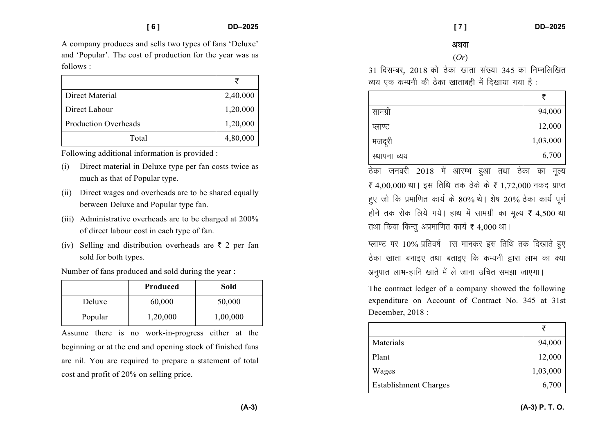A company produces and sells two types of fans 'Deluxe' and 'Popular'. The cost of production for the year was as follows :

|                             | ₹        |
|-----------------------------|----------|
| Direct Material             | 2,40,000 |
| Direct Labour               | 1,20,000 |
| <b>Production Overheads</b> | 1,20,000 |
| Total                       | 4,80,000 |

Following additional information is provided :

- (i) Direct material in Deluxe type per fan costs twice as much as that of Popular type.
- (ii) Direct wages and overheads are to be shared equally between Deluxe and Popular type fan.
- (iii) Administrative overheads are to be charged at 200% of direct labour cost in each type of fan.
- (iv) Selling and distribution overheads are  $\bar{\tau}$  2 per fan sold for both types.

Number of fans produced and sold during the year :

|         | Produced | Sold     |
|---------|----------|----------|
| Deluxe  | 60,000   | 50,000   |
| Popular | 1,20,000 | 1,00,000 |

Assume there is no work-in-progress either at the beginning or at the end and opening stock of finished fans are nil. You are required to prepare a statement of total cost and profit of 20% on selling price.

 **[ 7 ] DD–2025** 

अथवा

#### (*Or*)

31 दिसम्बर, 2018 को ठेका खाता संख्या 345 का निम्नलिखित *O;; ,d dEiuh dh Bsdk [kkrkcgh eas fn[kk;k x;k gS %* 

|              | ₹        |
|--------------|----------|
| सामग्री      | 94,000   |
| प्लाण्ट      | 12,000   |
| मजदूरी       | 1,03,000 |
| स्थापना व्यय | 6,700    |

*Bsdk tuojh* 2018 *esa vkjEHk gqvk rFkk Bsdk dk ewY;* ₹ 4,00,000 था। इस तिथि तक ठेके के ₹ 1,72,000 नकद प्राप्त हुए जो कि प्रमाणित कार्य के 80% थे। शेष 20% ठेका कार्य पूर्ण होने तक रोक लिये गये। हाथ में सामग्री का मूल्य ₹ 4,500 था *read* for *for the form for the feat*  $f$  4,000  $\text{eV}$  /

*V* IV 10% प्रतिवर्ष ास मानकर इस तिथि तक दिखाते हुए *Bsdk [kkrk cukb, rFkk crkb, fd dEiuh }kjk ykHk dk D;k अनुपात लाभ-हानि खाते में ले जाना उचित समझा जाएगा।* 

The contract ledger of a company showed the following expenditure on Account of Contract No. 345 at 31st December, 2018 :

| Materials                    | 94,000   |
|------------------------------|----------|
| Plant                        | 12,000   |
| Wages                        | 1,03,000 |
| <b>Establishment Charges</b> | 6,700    |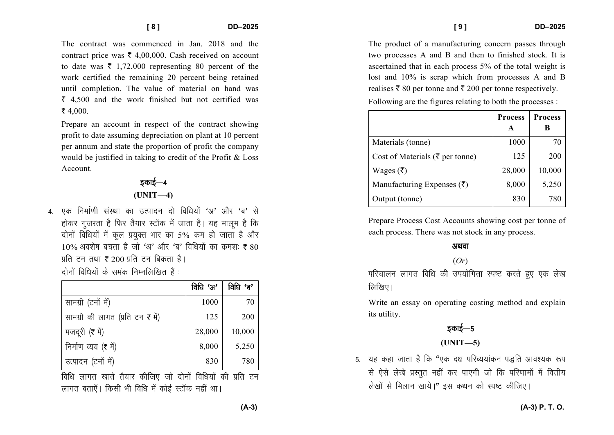The contract was commenced in Jan 2018 and the contract price was  $\bar{\tau}$  4,00,000. Cash received on account to date was  $\bar{\tau}$  1,72,000 representing 80 percent of the work certified the remaining 20 percent being retained until completion. The value of material on hand was  $\bar{\xi}$  4.500 and the work finished but not certified was ₹ 4.000.

Prepare an account in respect of the contract showing profit to date assuming depreciation on plant at 10 percent per annum and state the proportion of profit the company would be justified in taking to credit of the Profit & Loss Account

## इकाई—4  $(UNIT-4)$

4. एक निर्माणी संस्था का उत्पादन दो विधियों 'अ' और 'ब' से होकर गजरता है फिर तैयार स्टॉक में जाता है। यह मालम है कि दोनों विधियों में कूल प्रयुक्त भार का 5% कम हो जाता है और  $10\%$  अवशेष बचता है जो 'अ' और 'ब' विधियों का कमश: ₹ 80 प्रति टन तथा ₹ 200 प्रति टन बिकता है।

दोनों विधियों के समंक निम्नलिखित हैं :

|                                  | विधि 'अ' | বিঘি 'ৰ' |
|----------------------------------|----------|----------|
| सामग्री (टनों में)               | 1000     | 70       |
| सामग्री की लागत (प्रति टन ₹ में) | 125      | 200      |
| मजदूरी (₹ में)                   | 28,000   | 10,000   |
| निर्माण व्यय (₹ में)             | 8,000    | 5,250    |
| उत्पादन (टनों में)               | 830      | 780      |

लागत बताएँ। किसी भी विधि में कोई स्टॉक नहीं था।

The product of a manufacturing concern passes through two processes A and B and then to finished stock. It is ascertained that in each process 5% of the total weight is lost and 10% is scrap which from processes A and B realises ₹ 80 per tonne and ₹ 200 per tonne respectively.

Following are the figures relating to both the processes:

|                                             | <b>Process</b> | <b>Process</b> |
|---------------------------------------------|----------------|----------------|
|                                             | A              |                |
| Materials (tonne)                           | 1000           | 70             |
| Cost of Materials ( $\bar{\tau}$ per tonne) | 125            | 200            |
| Wages (₹)                                   | 28,000         | 10,000         |
| Manufacturing Expenses $(\bar{\zeta})$      | 8,000          | 5,250          |
| Output (tonne)                              | 830            | 780            |

Prepare Process Cost Accounts showing cost per tonne of each process. There was not stock in any process.

#### अथवा

#### $(Or)$

परिचालन लागत विधि की उपयोगिता स्पष्ट करते हुए एक लेख लिखिए।

Write an essay on operating costing method and explain its utility.

डकाई—5

## $(UNIT-5)$

5. यह कहा जाता है कि "एक दक्ष परिव्ययांकन पद्धति आवश्यक रूप से ऐसे लेखे प्रस्तुत नहीं कर पाएगी जो कि परिणामों में वित्तीय लेखों से मिलान खाये।" इस कथन को स्पष्ट कीजिए।